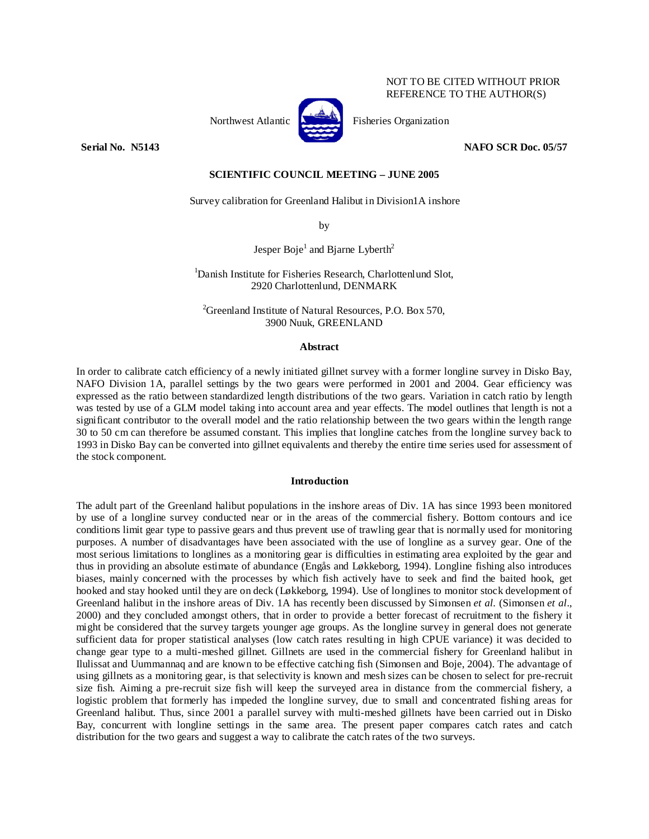# NOT TO BE CITED WITHOUT PRIOR REFERENCE TO THE AUTHOR(S)

Northwest Atlantic  $\begin{bmatrix} 1 & 1 \\ 1 & 1 \end{bmatrix}$  Fisheries Organization



**Serial No. 3.5143** NAFO SCR Doc. 05/57

# **SCIENTIFIC COUNCIL MEETING – JUNE 2005**

Survey calibration for Greenland Halibut in Division1A inshore

by

Jesper Boje<sup>1</sup> and Bjarne Lyberth<sup>2</sup>

<sup>1</sup>Danish Institute for Fisheries Research, Charlottenlund Slot, 2920 Charlottenlund, DENMARK

<sup>2</sup>Greenland Institute of Natural Resources, P.O. Box 570, 3900 Nuuk, GREENLAND

### **Abstract**

In order to calibrate catch efficiency of a newly initiated gillnet survey with a former longline survey in Disko Bay, NAFO Division 1A, parallel settings by the two gears were performed in 2001 and 2004. Gear efficiency was expressed as the ratio between standardized length distributions of the two gears. Variation in catch ratio by length was tested by use of a GLM model taking into account area and year effects. The model outlines that length is not a significant contributor to the overall model and the ratio relationship between the two gears within the length range 30 to 50 cm can therefore be assumed constant. This implies that longline catches from the longline survey back to 1993 in Disko Bay can be converted into gillnet equivalents and thereby the entire time series used for assessment of the stock component.

## **Introduction**

The adult part of the Greenland halibut populations in the inshore areas of Div. 1A has since 1993 been monitored by use of a longline survey conducted near or in the areas of the commercial fishery. Bottom contours and ice conditions limit gear type to passive gears and thus prevent use of trawling gear that is normally used for monitoring purposes. A number of disadvantages have been associated with the use of longline as a survey gear. One of the most serious limitations to longlines as a monitoring gear is difficulties in estimating area exploited by the gear and thus in providing an absolute estimate of abundance (Engås and Løkkeborg, 1994). Longline fishing also introduces biases, mainly concerned with the processes by which fish actively have to seek and find the baited hook, get hooked and stay hooked until they are on deck (Løkkeborg, 1994). Use of longlines to monitor stock development of Greenland halibut in the inshore areas of Div. 1A has recently been discussed by Simonsen *et al.* (Simonsen *et al*., 2000) and they concluded amongst others, that in order to provide a better forecast of recruitment to the fishery it might be considered that the survey targets younger age groups. As the longline survey in general does not generate sufficient data for proper statistical analyses (low catch rates resulting in high CPUE variance) it was decided to change gear type to a multi-meshed gillnet. Gillnets are used in the commercial fishery for Greenland halibut in Ilulissat and Uummannaq and are known to be effective catching fish (Simonsen and Boje, 2004). The advantage of using gillnets as a monitoring gear, is that selectivity is known and mesh sizes can be chosen to select for pre-recruit size fish. Aiming a pre-recruit size fish will keep the surveyed area in distance from the commercial fishery, a logistic problem that formerly has impeded the longline survey, due to small and concentrated fishing areas for Greenland halibut. Thus, since 2001 a parallel survey with multi-meshed gillnets have been carried out in Disko Bay, concurrent with longline settings in the same area. The present paper compares catch rates and catch distribution for the two gears and suggest a way to calibrate the catch rates of the two surveys.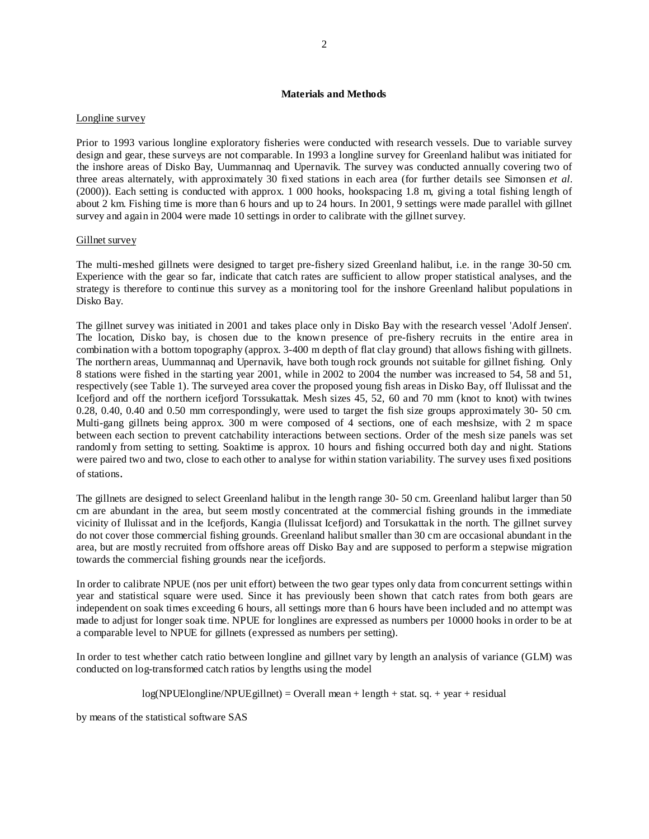### **Materials and Methods**

#### Longline survey

Prior to 1993 various longline exploratory fisheries were conducted with research vessels. Due to variable survey design and gear, these surveys are not comparable. In 1993 a longline survey for Greenland halibut was initiated for the inshore areas of Disko Bay, Uummannaq and Upernavik. The survey was conducted annually covering two of three areas alternately, with approximately 30 fixed stations in each area (for further details see Simonsen *et al*. (2000)). Each setting is conducted with approx. 1 000 hooks, hookspacing 1.8 m, giving a total fishing length of about 2 km. Fishing time is more than 6 hours and up to 24 hours. In 2001, 9 settings were made parallel with gillnet survey and again in 2004 were made 10 settings in order to calibrate with the gillnet survey.

## Gillnet survey

The multi-meshed gillnets were designed to target pre-fishery sized Greenland halibut, i.e. in the range 30-50 cm. Experience with the gear so far, indicate that catch rates are sufficient to allow proper statistical analyses, and the strategy is therefore to continue this survey as a monitoring tool for the inshore Greenland halibut populations in Disko Bay.

The gillnet survey was initiated in 2001 and takes place only in Disko Bay with the research vessel 'Adolf Jensen'. The location, Disko bay, is chosen due to the known presence of pre-fishery recruits in the entire area in combination with a bottom topography (approx. 3-400 m depth of flat clay ground) that allows fishing with gillnets. The northern areas, Uummannaq and Upernavik, have both tough rock grounds not suitable for gillnet fishing. Only 8 stations were fished in the starting year 2001, while in 2002 to 2004 the number was increased to 54, 58 and 51, respectively (see Table 1). The surveyed area cover the proposed young fish areas in Disko Bay, off Ilulissat and the Icefjord and off the northern icefjord Torssukattak. Mesh sizes 45, 52, 60 and 70 mm (knot to knot) with twines 0.28, 0.40, 0.40 and 0.50 mm correspondingly, were used to target the fish size groups approximately 30- 50 cm. Multi-gang gillnets being approx. 300 m were composed of 4 sections, one of each meshsize, with 2 m space between each section to prevent catchability interactions between sections. Order of the mesh size panels was set randomly from setting to setting. Soaktime is approx. 10 hours and fishing occurred both day and night. Stations were paired two and two, close to each other to analyse for within station variability. The survey uses fixed positions of stations.

The gillnets are designed to select Greenland halibut in the length range 30- 50 cm. Greenland halibut larger than 50 cm are abundant in the area, but seem mostly concentrated at the commercial fishing grounds in the immediate vicinity of Ilulissat and in the Icefjords, Kangia (Ilulissat Icefjord) and Torsukattak in the north. The gillnet survey do not cover those commercial fishing grounds. Greenland halibut smaller than 30 cm are occasional abundant in the area, but are mostly recruited from offshore areas off Disko Bay and are supposed to perform a stepwise migration towards the commercial fishing grounds near the icefjords.

In order to calibrate NPUE (nos per unit effort) between the two gear types only data from concurrent settings within year and statistical square were used. Since it has previously been shown that catch rates from both gears are independent on soak times exceeding 6 hours, all settings more than 6 hours have been included and no attempt was made to adjust for longer soak time. NPUE for longlines are expressed as numbers per 10000 hooks in order to be at a comparable level to NPUE for gillnets (expressed as numbers per setting).

In order to test whether catch ratio between longline and gillnet vary by length an analysis of variance (GLM) was conducted on log-transformed catch ratios by lengths using the model

 $log(NPUElongline/NPUEgillnet) = Overall mean + length + stat. sq. + year + residual$ 

by means of the statistical software SAS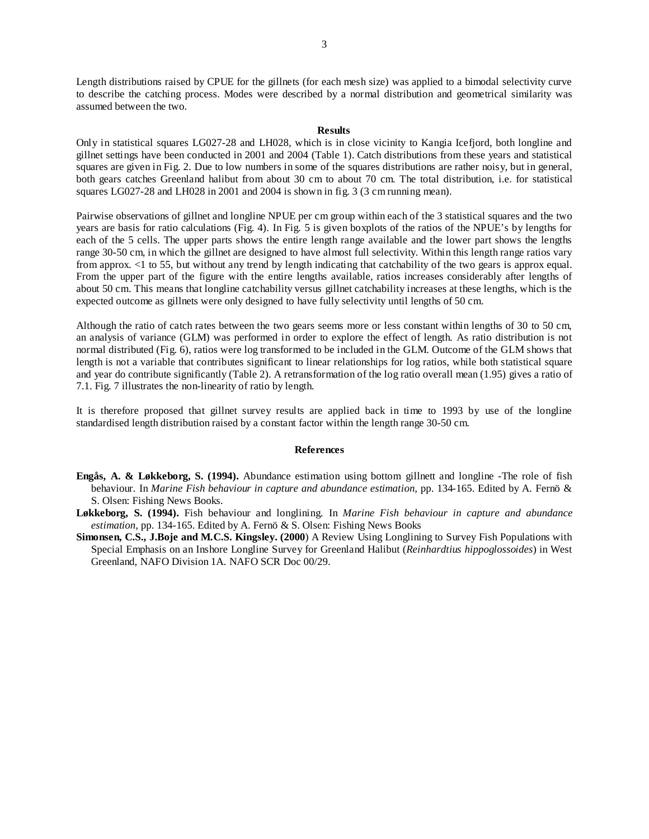Length distributions raised by CPUE for the gillnets (for each mesh size) was applied to a bimodal selectivity curve to describe the catching process. Modes were described by a normal distribution and geometrical similarity was assumed between the two.

#### **Results**

Only in statistical squares LG027-28 and LH028, which is in close vicinity to Kangia Icefjord, both longline and gillnet settings have been conducted in 2001 and 2004 (Table 1). Catch distributions from these years and statistical squares are given in Fig. 2. Due to low numbers in some of the squares distributions are rather noisy, but in general, both gears catches Greenland halibut from about 30 cm to about 70 cm. The total distribution, i.e. for statistical squares LG027-28 and LH028 in 2001 and 2004 is shown in fig. 3 (3 cm running mean).

Pairwise observations of gillnet and longline NPUE per cm group within each of the 3 statistical squares and the two years are basis for ratio calculations (Fig. 4). In Fig. 5 is given boxplots of the ratios of the NPUE's by lengths for each of the 5 cells. The upper parts shows the entire length range available and the lower part shows the lengths range 30-50 cm, in which the gillnet are designed to have almost full selectivity. Within this length range ratios vary from approx. <1 to 55, but without any trend by length indicating that catchability of the two gears is approx equal. From the upper part of the figure with the entire lengths available, ratios increases considerably after lengths of about 50 cm. This means that longline catchability versus gillnet catchability increases at these lengths, which is the expected outcome as gillnets were only designed to have fully selectivity until lengths of 50 cm.

Although the ratio of catch rates between the two gears seems more or less constant within lengths of 30 to 50 cm, an analysis of variance (GLM) was performed in order to explore the effect of length. As ratio distribution is not normal distributed (Fig. 6), ratios were log transformed to be included in the GLM. Outcome of the GLM shows that length is not a variable that contributes significant to linear relationships for log ratios, while both statistical square and year do contribute significantly (Table 2). A retransformation of the log ratio overall mean (1.95) gives a ratio of 7.1. Fig. 7 illustrates the non-linearity of ratio by length.

It is therefore proposed that gillnet survey results are applied back in time to 1993 by use of the longline standardised length distribution raised by a constant factor within the length range 30-50 cm.

#### **References**

- **Engås, A. & Løkkeborg, S. (1994).** Abundance estimation using bottom gillnett and longline -The role of fish behaviour. In *Marine Fish behaviour in capture and abundance estimation*, pp. 134-165. Edited by A. Fernö & S. Olsen: Fishing News Books.
- **Løkkeborg, S. (1994).** Fish behaviour and longlining. In *Marine Fish behaviour in capture and abundance estimation*, pp. 134-165. Edited by A. Fernö & S. Olsen: Fishing News Books
- **Simonsen, C.S., J.Boje and M.C.S. Kingsley. (2000**) A Review Using Longlining to Survey Fish Populations with Special Emphasis on an Inshore Longline Survey for Greenland Halibut (*Reinhardtius hippoglossoides*) in West Greenland, NAFO Division 1A. NAFO SCR Doc 00/29.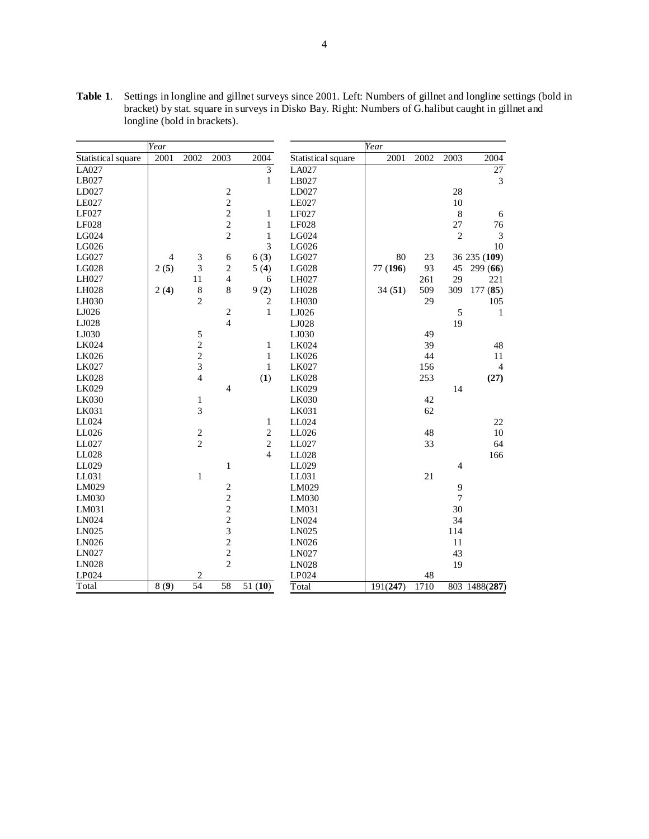|                    | Year           |                             |                         |                | Year               |          |      |                |                |  |
|--------------------|----------------|-----------------------------|-------------------------|----------------|--------------------|----------|------|----------------|----------------|--|
| Statistical square | 2001           | 2002                        | 2003                    | 2004           | Statistical square | 2001     | 2002 | 2003           | 2004           |  |
| LA027              |                |                             |                         | 3              | LA027              |          |      |                | 27             |  |
| LB027              |                |                             |                         | $\mathbf{1}$   | LB027              |          |      |                | 3              |  |
| LD027              |                |                             |                         |                | LD027              |          |      | 28             |                |  |
| LE027              |                |                             | $\frac{2}{2}$           |                | LE027              |          |      | 10             |                |  |
| LF027              |                |                             | $\overline{c}$          | $\mathbf{1}$   | LF027              |          |      | $\,$ 8 $\,$    | 6              |  |
| LF <sub>028</sub>  |                |                             | $\overline{c}$          | $\mathbf{1}$   | LF028              |          |      | 27             | 76             |  |
| LG024              |                |                             | $\overline{c}$          | $\,1$          | LG024              |          |      | $\sqrt{2}$     | 3              |  |
| LG026              |                |                             |                         | 3              | LG026              |          |      |                | 10             |  |
| LG027              | $\overline{4}$ | $\ensuremath{\mathfrak{Z}}$ | 6                       | 6(3)           | LG027              | 80       | 23   |                | 36 235 (109)   |  |
| LG028              | 2(5)           | $\mathfrak{Z}$              | $\sqrt{2}$              | 5(4)           | LG028              | 77 (196) | 93   | 45             | 299 (66)       |  |
| LH027              |                | 11                          | $\overline{4}$          | 6              | LH027              |          | 261  | 29             | 221            |  |
| LH028              | 2(4)           | 8                           | $\,8\,$                 | 9(2)           | LH028              | 34(51)   | 509  | 309            | 177(85)        |  |
| LH030              |                | $\overline{c}$              |                         | 2              | LH030              |          | 29   |                | 105            |  |
| LJ026              |                |                             | $\sqrt{2}$              | $\mathbf{1}$   | LJ026              |          |      | $\sqrt{5}$     | $\mathbf{1}$   |  |
| LJ028              |                |                             | $\overline{4}$          |                | LJ028              |          |      | 19             |                |  |
| LJ030              |                |                             |                         |                | LJ030              |          | 49   |                |                |  |
| LK024              |                | $\frac{5}{2}$               |                         | 1              | LK024              |          | 39   |                | 48             |  |
| LK026              |                | $\overline{c}$              |                         | $\mathbf{1}$   | LK026              |          | 44   |                | 11             |  |
| LK027              |                | $\overline{3}$              |                         | $\mathbf{1}$   | LK027              |          | 156  |                | $\overline{4}$ |  |
| LK028              |                | $\overline{4}$              |                         | (1)            | LK028              |          | 253  |                | (27)           |  |
| LK029              |                |                             | 4                       |                | LK029              |          |      | 14             |                |  |
| LK030              |                | $\mathbf{1}$                |                         |                | LK030              |          | 42   |                |                |  |
| LK031              |                | 3                           |                         |                | LK031              |          | 62   |                |                |  |
| LL024              |                |                             |                         | $\mathbf{1}$   | LL024              |          |      |                | 22             |  |
| LL026              |                | $\boldsymbol{2}$            |                         | $\sqrt{2}$     | LL026              |          | 48   |                | 10             |  |
| LL027              |                | $\overline{2}$              |                         | $\overline{c}$ | LL027              |          | 33   |                | 64             |  |
| LL028              |                |                             |                         | $\overline{4}$ | LL028              |          |      |                | 166            |  |
| LL029              |                |                             | $\mathbf{1}$            |                | LL029              |          |      | 4              |                |  |
| LL031              |                | $\mathbf{1}$                |                         |                | LL031              |          | 21   |                |                |  |
| LM029              |                |                             | $\sqrt{2}$              |                | LM029              |          |      | 9              |                |  |
| LM030              |                |                             | $\overline{\mathbf{c}}$ |                | LM030              |          |      | $\overline{7}$ |                |  |
| LM031              |                |                             |                         |                | LM031              |          |      | 30             |                |  |
| LN024              |                |                             | $\frac{2}{2}$           |                | LN024              |          |      | 34             |                |  |
| LN025              |                |                             | 3                       |                | LN025              |          |      | 114            |                |  |
| LN026              |                |                             | $\overline{c}$          |                | LN026              |          |      | 11             |                |  |
| LN027              |                |                             | $\overline{c}$          |                | LN027              |          |      | 43             |                |  |
| LN028              |                |                             | $\overline{2}$          |                | LN028              |          |      | 19             |                |  |
| LP024              |                | $\sqrt{2}$                  |                         |                | LP024              |          | 48   |                |                |  |
| Total              | 8(9)           | $\overline{54}$             | 58                      | 51(10)         | Total              | 191(247) | 1710 |                | 803 1488(287)  |  |

**Table 1**. Settings in longline and gillnet surveys since 2001. Left: Numbers of gillnet and longline settings (bold in bracket) by stat. square in surveys in Disko Bay. Right: Numbers of G.halibut caught in gillnet and longline (bold in brackets).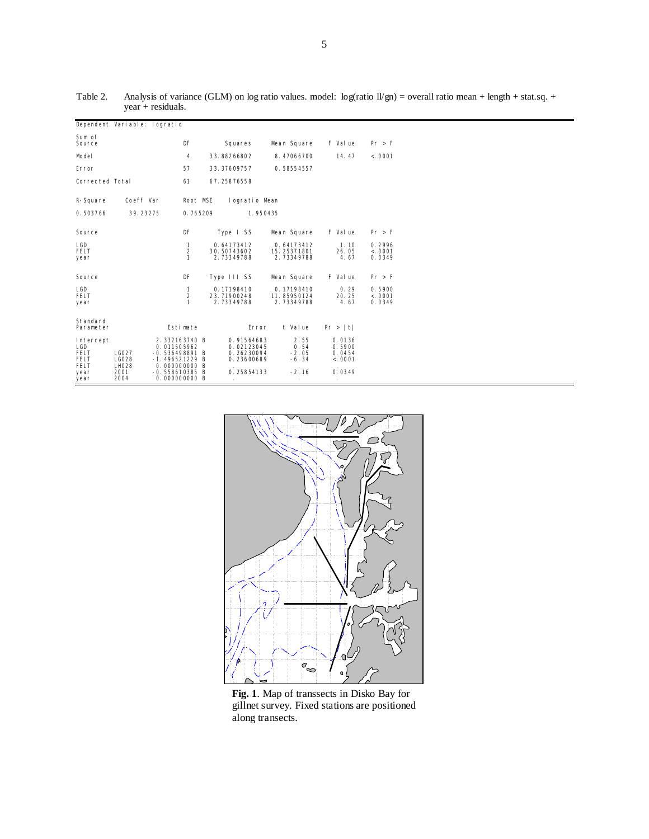| Dependent Variable: logratio                                         |                                       |                                                                                     |                        |  |                                         |                                                      |                                         |  |                                      |                            |
|----------------------------------------------------------------------|---------------------------------------|-------------------------------------------------------------------------------------|------------------------|--|-----------------------------------------|------------------------------------------------------|-----------------------------------------|--|--------------------------------------|----------------------------|
| Sum of<br>Source                                                     |                                       |                                                                                     | DF                     |  | Squares                                 |                                                      | Mean Square                             |  | F Val ue                             | Pr > F                     |
| Model                                                                |                                       |                                                                                     | 4                      |  | 33.88266802                             |                                                      | 8.47066700                              |  | 14.47                                | < 0001                     |
| Error                                                                |                                       |                                                                                     | 57                     |  | 33.37609757                             |                                                      | 0.58554557                              |  |                                      |                            |
| Corrected Total                                                      |                                       |                                                                                     | 61                     |  | 67.25876558                             |                                                      |                                         |  |                                      |                            |
| R-Square                                                             | Coeff Var                             |                                                                                     | Root MSE               |  |                                         | I ogratio Mean                                       |                                         |  |                                      |                            |
| 0.503766                                                             | 39.23275                              |                                                                                     | 0.765209               |  |                                         | 1.950435                                             |                                         |  |                                      |                            |
|                                                                      |                                       |                                                                                     |                        |  |                                         |                                                      |                                         |  |                                      |                            |
| Source                                                               |                                       |                                                                                     | DF                     |  | Type I SS                               |                                                      | Mean Square                             |  | F Val ue                             | Pr > F                     |
| LGD<br><b>FELT</b><br>year                                           |                                       |                                                                                     | $\mathbf{1}$<br>2<br>1 |  | 0.64173412<br>30.50743602<br>2.73349788 |                                                      | 0.64173412<br>15.25371801<br>2.73349788 |  | 1.10<br>26.05<br>4.67                | 0.2996<br>< 0001<br>0.0349 |
| Source                                                               |                                       |                                                                                     | DF                     |  | Type III SS                             |                                                      | Mean Square                             |  | F Val ue                             | Pr > F                     |
| LGD<br>FELT<br>year                                                  |                                       |                                                                                     | $\mathbf{1}$<br>2<br>1 |  | 0.17198410<br>23.71900248<br>2.73349788 |                                                      | 0.17198410<br>11.85950124<br>2.73349788 |  | 0.29<br>20.25<br>4.67                | 0.5900<br>< 0001<br>0.0349 |
| Standard<br>Parameter                                                |                                       |                                                                                     | Esti mate              |  |                                         | Error                                                | t Value                                 |  | Pr >  t                              |                            |
| Intercept<br><b>LGD</b><br><b>FELT</b><br><b>FELT</b><br><b>FELT</b> | LG027<br><b>LG028</b><br><b>LH028</b> | 2.332163740 B<br>0.011505962<br>$-0.536498891B$<br>$-1.496521229B$<br>0.000000000 B |                        |  |                                         | 0.91564683<br>0.02123045<br>0.26230094<br>0.23600689 | 2.55<br>0.54<br>$-2.05$<br>$-6.34$      |  | 0.0136<br>0.5900<br>0.0454<br>< 0001 |                            |
| year<br>year                                                         | 2001<br>2004                          | $-0.558610385$ B<br>0.000000000 B                                                   |                        |  |                                         | 0.25854133                                           | $-2.16$                                 |  | 0.0349                               |                            |

Table 2. Analysis of variance (GLM) on log ratio values. model:  $log(ratio \, l\vert g_n) = overall\, ratio \, mean + length + stat.\text{sq.} +$ year + residuals.



**Fig. 1**. Map of transsects in Disko Bay for gillnet survey. Fixed stations are positioned along transects.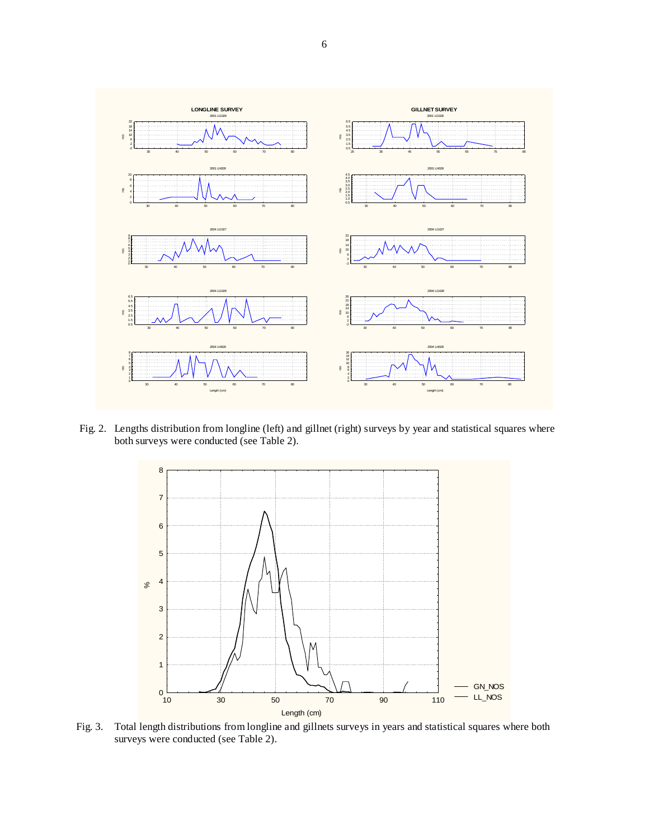

Fig. 2. Lengths distribution from longline (left) and gillnet (right) surveys by year and statistical squares where both surveys were conducted (see Table 2).



Fig. 3. Total length distributions from longline and gillnets surveys in years and statistical squares where both surveys were conducted (see Table 2).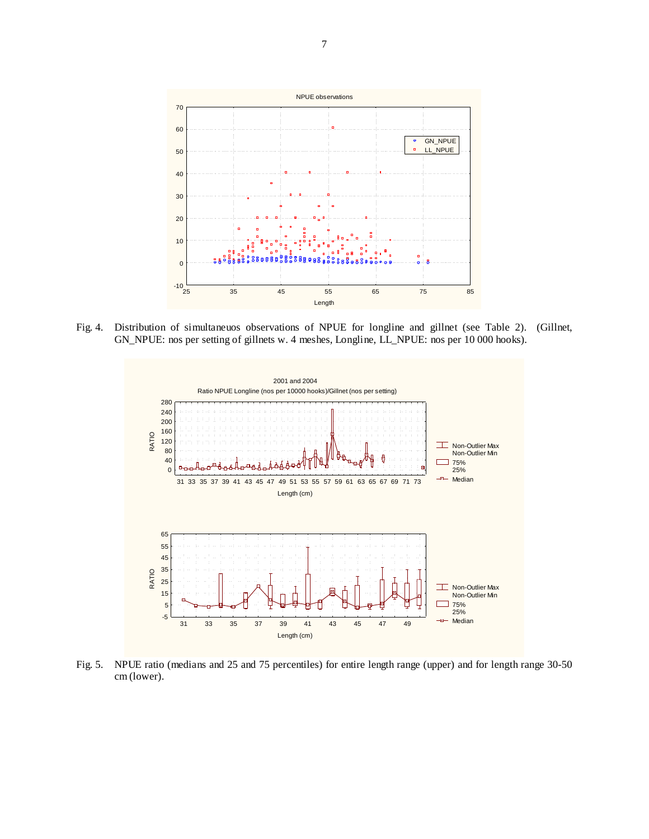

Fig. 4. Distribution of simultaneuos observations of NPUE for longline and gillnet (see Table 2). (Gillnet, GN\_NPUE: nos per setting of gillnets w. 4 meshes, Longline, LL\_NPUE: nos per 10 000 hooks).



 Fig. 5. NPUE ratio (medians and 25 and 75 percentiles) for entire length range (upper) and for length range 30-50 cm (lower).